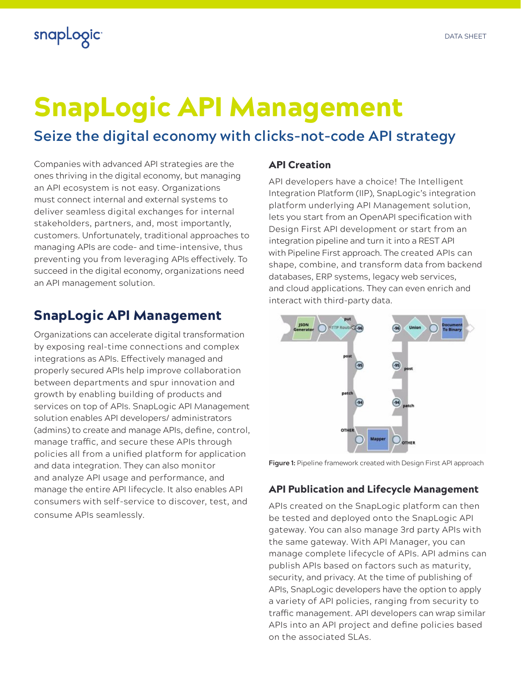## snapLogic

# SnapLogic API Management

## **Seize the digital economy with clicks-not-code API strategy**

Companies with advanced API strategies are the ones thriving in the digital economy, but managing an API ecosystem is not easy. Organizations must connect internal and external systems to deliver seamless digital exchanges for internal stakeholders, partners, and, most importantly, customers. Unfortunately, traditional approaches to managing APIs are code- and time-intensive, thus preventing you from leveraging APIs effectively. To succeed in the digital economy, organizations need an API management solution.

### SnapLogic API Management

Organizations can accelerate digital transformation by exposing real-time connections and complex integrations as APIs. Effectively managed and properly secured APIs help improve collaboration between departments and spur innovation and growth by enabling building of products and services on top of APIs. SnapLogic API Management solution enables API developers/ administrators (admins) to create and manage APIs, define, control, manage traffic, and secure these APIs through policies all from a unified platform for application and data integration. They can also monitor and analyze API usage and performance, and manage the entire API lifecycle. It also enables API consumers with self-service to discover, test, and consume APIs seamlessly.

#### API Creation

API developers have a choice! The Intelligent Integration Platform (IIP), SnapLogic's integration platform underlying API Management solution, lets you start from an OpenAPI specification with Design First API development or start from an integration pipeline and turn it into a REST API with Pipeline First approach. The created APIs can shape, combine, and transform data from backend databases, ERP systems, legacy web services, and cloud applications. They can even enrich and interact with third-party data.



**Figure 1:** Pipeline framework created with Design First API approach

#### API Publication and Lifecycle Management

APIs created on the SnapLogic platform can then be tested and deployed onto the SnapLogic API gateway. You can also manage 3rd party APIs with the same gateway. With API Manager, you can manage complete lifecycle of APIs. API admins can publish APIs based on factors such as maturity, security, and privacy. At the time of publishing of APIs, SnapLogic developers have the option to apply a variety of API policies, ranging from security to traffic management. API developers can wrap similar APIs into an API project and define policies based on the associated SLAs.